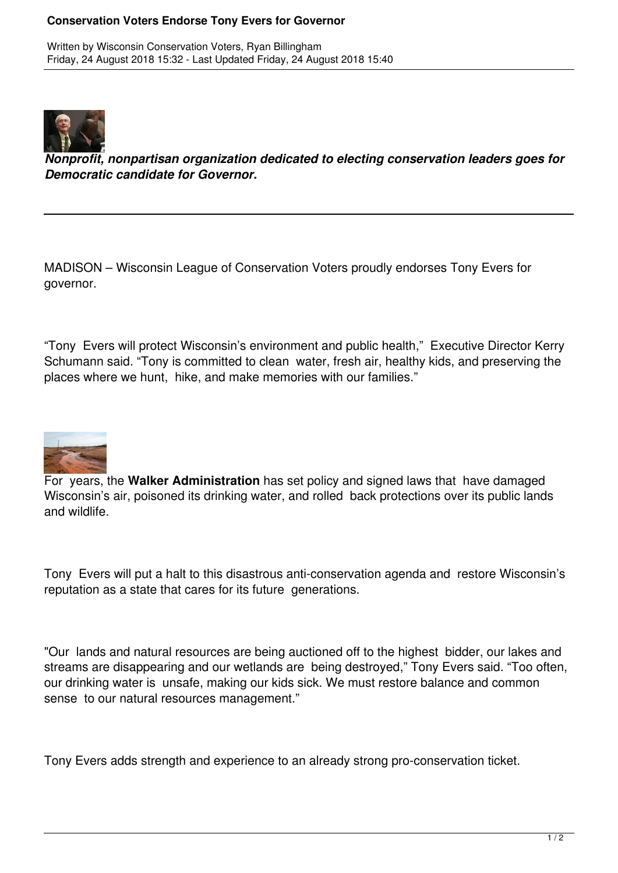## **Conservation Voters Endorse Tony Evers for Governor**

Written by Wisconsin Conservation Voters, Ryan Billingham Friday, 24 August 2018 15:32 - Last Updated Friday, 24 August 2018 15:40



*Nonprofit, nonpartisan organization dedicated to electing conservation leaders goes for Democratic candidate for Governor.*

MADISON – Wisconsin League of Conservation Voters proudly endorses Tony Evers for governor.

"Tony Evers will protect Wisconsin's environment and public health," Executive Director Kerry Schumann said. "Tony is committed to clean water, fresh air, healthy kids, and preserving the places where we hunt, hike, and make memories with our families."



For years, the **Walker Administration** has set policy and signed laws that have damaged Wisconsin's air, poisoned its drinking water, and rolled back protections over its public lands and wildlife.

Tony Evers will put a halt to this disastrous anti-conservation agenda and restore Wisconsin's reputation as a state that cares for its future generations.

"Our lands and natural resources are being auctioned off to the highest bidder, our lakes and streams are disappearing and our wetlands are being destroyed," Tony Evers said. "Too often, our drinking water is unsafe, making our kids sick. We must restore balance and common sense to our natural resources management."

Tony Evers adds strength and experience to an already strong pro-conservation ticket.